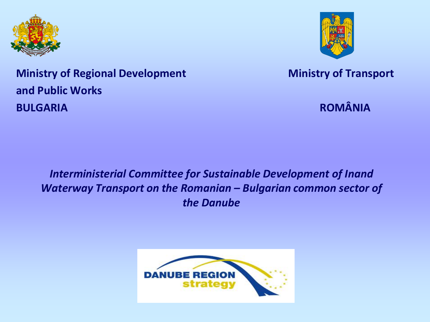



**Ministry of Regional Development Ministry of Transport Ministry of Transport and Public Works BULGARIA** ROMÂNIA

*Interministerial Committee for Sustainable Development of Inand Waterway Transport on the Romanian – Bulgarian common sector of the Danube*

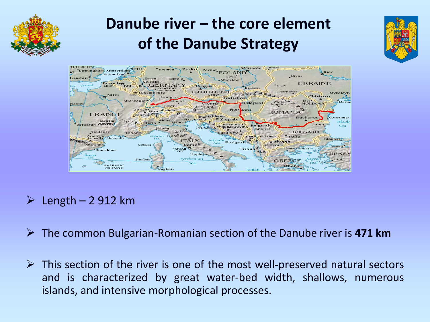

# **Danube river – the core element of the Danube Strategy**





### $\geq$  Length – 2 912 km

- The common Bulgarian-Romanian section of the Danube river is **471 km**
- $\triangleright$  This section of the river is one of the most well-preserved natural sectors and is characterized by great water-bed width, shallows, numerous islands, and intensive morphological processes.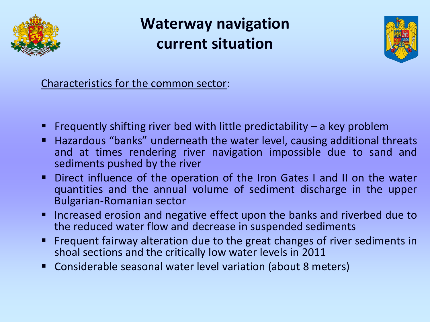

## **Waterway navigation current situation**



Characteristics for the common sector:

- Frequently shifting river bed with little predictability  $-$  a key problem
- Hazardous "banks" underneath the water level, causing additional threats and at times rendering river navigation impossible due to sand and sediments pushed by the river
- Direct influence of the operation of the Iron Gates I and II on the water quantities and the annual volume of sediment discharge in the upper Bulgarian-Romanian sector
- Increased erosion and negative effect upon the banks and riverbed due to the reduced water flow and decrease in suspended sediments
- **Figure 1** Frequent fairway alteration due to the great changes of river sediments in shoal sections and the critically low water levels in 2011
- Considerable seasonal water level variation (about 8 meters)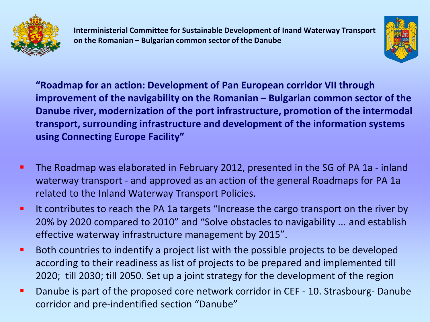



**"Roadmap for an action: Development of Pan European corridor VII through improvement of the navigability on the Romanian – Bulgarian common sector of the Danube river, modernization of the port infrastructure, promotion of the intermodal transport, surrounding infrastructure and development of the information systems using Connecting Europe Facility"**

- **The Roadmap was elaborated in February 2012, presented in the SG of PA 1a inland** waterway transport - and approved as an action of the general Roadmaps for PA 1a related to the Inland Waterway Transport Policies.
- It contributes to reach the PA 1a targets "Increase the cargo transport on the river by 20% by 2020 compared to 2010" and "Solve obstacles to navigability ... and establish effective waterway infrastructure management by 2015".
- **Both countries to indentify a project list with the possible projects to be developed** according to their readiness as list of projects to be prepared and implemented till 2020; till 2030; till 2050. Set up a joint strategy for the development of the region
- **•** Danube is part of the proposed core network corridor in CEF 10. Strasbourg- Danube corridor and pre-indentified section "Danube"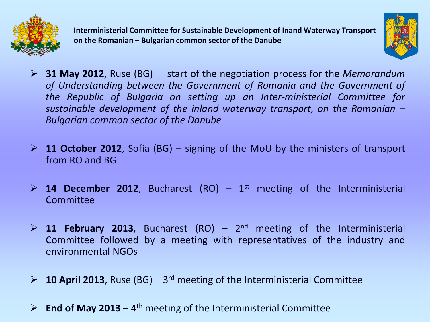



- **31 May 2012**, Ruse (BG) start of the negotiation process for the *Memorandum of Understanding between the Government of Romania and the Government of the Republic of Bulgaria on setting up an Inter-ministerial Committee for sustainable development of the inland waterway transport, on the Romanian – Bulgarian common sector of the Danube*
- **11 October 2012**, Sofia (BG) signing of the MoU by the ministers of transport from RO and BG
- $\geq$  **14 December 2012**, Bucharest (RO) 1<sup>st</sup> meeting of the Interministerial Committee
- $\geq$  11 **February 2013**, Bucharest (RO) 2<sup>nd</sup> meeting of the Interministerial Committee followed by a meeting with representatives of the industry and environmental NGOs
- **2013**, Ruse (BG) 3<sup>rd</sup> meeting of the Interministerial Committee
- $\triangleright$  **End of May 2013** 4<sup>th</sup> meeting of the Interministerial Committee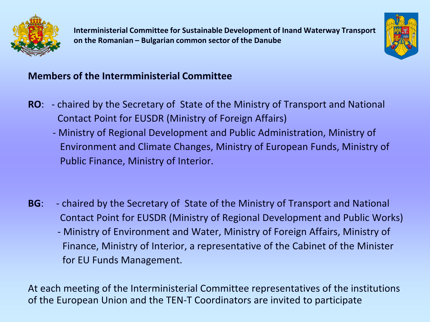



#### **Members of the Intermministerial Committee**

- **RO**: chaired by the Secretary of State of the Ministry of Transport and National Contact Point for EUSDR (Ministry of Foreign Affairs)
	- Ministry of Regional Development and Public Administration, Ministry of Environment and Climate Changes, Ministry of European Funds, Ministry of Public Finance, Ministry of Interior.
- **BG**: chaired by the Secretary of State of the Ministry of Transport and National Contact Point for EUSDR (Ministry of Regional Development and Public Works)
	- Ministry of Environment and Water, Ministry of Foreign Affairs, Ministry of Finance, Ministry of Interior, a representative of the Cabinet of the Minister for EU Funds Management.

At each meeting of the Interministerial Committee representatives of the institutions of the European Union and the TEN-T Coordinators are invited to participate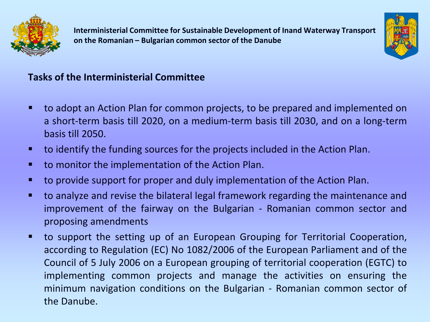



#### **Tasks of the Interministerial Committee**

- to adopt an Action Plan for common projects, to be prepared and implemented on a short-term basis till 2020, on a medium-term basis till 2030, and on a long-term basis till 2050.
- to identify the funding sources for the projects included in the Action Plan.
- to monitor the implementation of the Action Plan.
- to provide support for proper and duly implementation of the Action Plan.
- to analyze and revise the bilateral legal framework regarding the maintenance and improvement of the fairway on the Bulgarian - Romanian common sector and proposing amendments
- to support the setting up of an European Grouping for Territorial Cooperation, according to Regulation (EC) No 1082/2006 of the European Parliament and of the Council of 5 July 2006 on a European grouping of territorial cooperation (EGTC) to implementing common projects and manage the activities on ensuring the minimum navigation conditions on the Bulgarian - Romanian common sector of the Danube.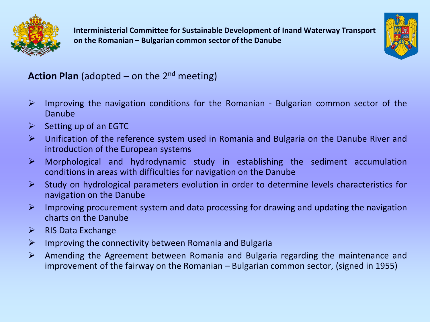



#### **Action Plan** (adopted – on the  $2^{nd}$  meeting)

- $\triangleright$  Improving the navigation conditions for the Romanian Bulgarian common sector of the Danube
- $\triangleright$  Setting up of an EGTC
- Unification of the reference system used in Romania and Bulgaria on the Danube River and introduction of the European systems
- $\triangleright$  Morphological and hydrodynamic study in establishing the sediment accumulation conditions in areas with difficulties for navigation on the Danube
- $\triangleright$  Study on hydrological parameters evolution in order to determine levels characteristics for navigation on the Danube
- $\triangleright$  Improving procurement system and data processing for drawing and updating the navigation charts on the Danube
- $\triangleright$  RIS Data Exchange
- $\triangleright$  Improving the connectivity between Romania and Bulgaria
- Amending the Agreement between Romania and Bulgaria regarding the maintenance and improvement of the fairway on the Romanian – Bulgarian common sector, (signed in 1955)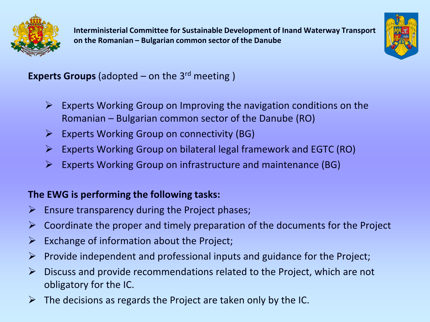



#### **Experts Groups** (adopted – on the 3rd meeting )

- $\triangleright$  Experts Working Group on Improving the navigation conditions on the Romanian – Bulgarian common sector of the Danube (RO)
- $\triangleright$  Experts Working Group on connectivity (BG)
- $\triangleright$  Experts Working Group on bilateral legal framework and EGTC (RO)
- $\triangleright$  Experts Working Group on infrastructure and maintenance (BG)

#### **The EWG is performing the following tasks:**

- $\triangleright$  Ensure transparency during the Project phases;
- $\triangleright$  Coordinate the proper and timely preparation of the documents for the Project
- $\triangleright$  Exchange of information about the Project;
- $\triangleright$  Provide independent and professional inputs and guidance for the Project;
- $\triangleright$  Discuss and provide recommendations related to the Project, which are not obligatory for the IC.
- $\triangleright$  The decisions as regards the Project are taken only by the IC.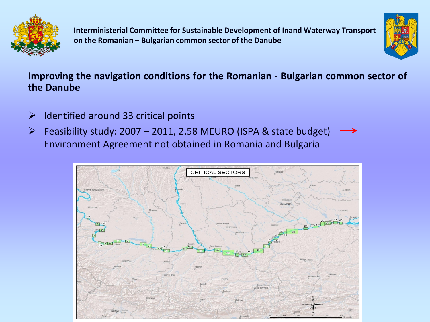



#### **Improving the navigation conditions for the Romanian - Bulgarian common sector of the Danube**

- $\triangleright$  Identified around 33 critical points
- $\triangleright$  Feasibility study: 2007 2011, 2.58 MEURO (ISPA & state budget) Environment Agreement not obtained in Romania and Bulgaria

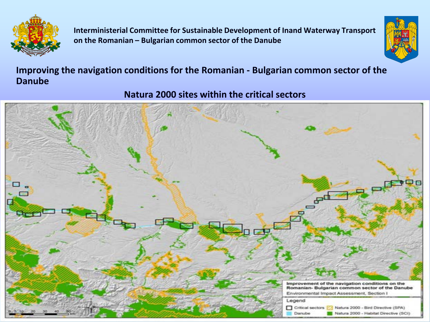



#### **Improving the navigation conditions for the Romanian - Bulgarian common sector of the Danube**

**Natura 2000 sites within the critical sectors** 

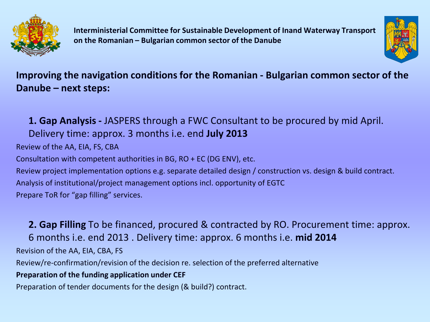



#### **Improving the navigation conditions for the Romanian - Bulgarian common sector of the Danube – next steps:**

**1. Gap Analysis -** JASPERS through a FWC Consultant to be procured by mid April. Delivery time: approx. 3 months i.e. end **July 2013**  Review of the AA, EIA, FS, CBA Consultation with competent authorities in BG, RO + EC (DG ENV), etc. Review project implementation options e.g. separate detailed design / construction vs. design & build contract. Analysis of institutional/project management options incl. opportunity of EGTC Prepare ToR for "gap filling" services.

**2. Gap Filling** To be financed, procured & contracted by RO. Procurement time: approx. 6 months i.e. end 2013 . Delivery time: approx. 6 months i.e. **mid 2014**  Revision of the AA, EIA, CBA, FS Review/re-confirmation/revision of the decision re. selection of the preferred alternative **Preparation of the funding application under CEF**  Preparation of tender documents for the design (& build?) contract.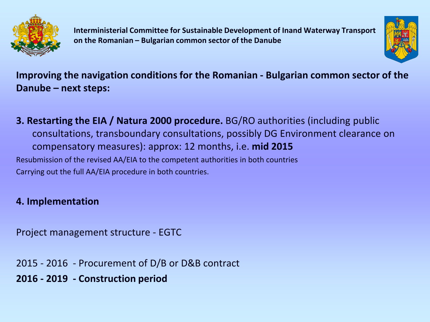



**Improving the navigation conditions for the Romanian - Bulgarian common sector of the Danube – next steps:**

**3. Restarting the EIA / Natura 2000 procedure.** BG/RO authorities (including public consultations, transboundary consultations, possibly DG Environment clearance on compensatory measures): approx: 12 months, i.e. **mid 2015**  Resubmission of the revised AA/EIA to the competent authorities in both countries Carrying out the full AA/EIA procedure in both countries.

#### **4. Implementation**

Project management structure - EGTC

- 2015 2016 Procurement of D/B or D&B contract
- **2016 - 2019 - Construction period**